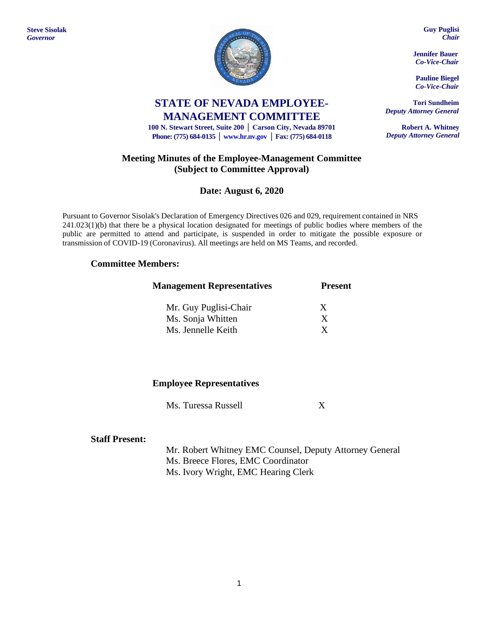**Steve Sisolak** *Governor*



# **STATE OF NEVADA EMPLOYEE-MANAGEMENT COMMITTEE**

**100 N. Stewart Street, Suite 200 │ Carson City, Nevada 89701 Phone: (775) 684-0135 │ [www.hr.nv.gov](http://www.hr.nv.gov/) │ Fax: (775) 684-0118**

### **Meeting Minutes of the Employee-Management Committee (Subject to Committee Approval)**

### **Date: August 6, 2020**

Pursuant to Governor Sisolak's Declaration of Emergency Directives 026 and 029, requirement contained in NRS 241.023(1)(b) that there be a physical location designated for meetings of public bodies where members of the public are permitted to attend and participate, is suspended in order to mitigate the possible exposure or transmission of COVID-19 (Coronavirus). All meetings are held on MS Teams, and recorded.

### **Committee Members:**

| <b>Management Representatives</b> | <b>Present</b> |
|-----------------------------------|----------------|
| Mr. Guy Puglisi-Chair             | X              |
| Ms. Sonja Whitten                 | X              |
| Ms. Jennelle Keith                |                |

### **Employee Representatives**

Ms. Turessa Russell X

### **Staff Present:**

Mr. Robert Whitney EMC Counsel, Deputy Attorney General Ms. Breece Flores, EMC Coordinator Ms. Ivory Wright, EMC Hearing Clerk

**Guy Puglisi** *Chair*

**Jennifer Bauer** *Co-Vice-Chair*

**Pauline Biegel** *Co-Vice-Chair*

**Tori Sundheim** *Deputy Attorney General*

**Robert A. Whitney** *Deputy Attorney General*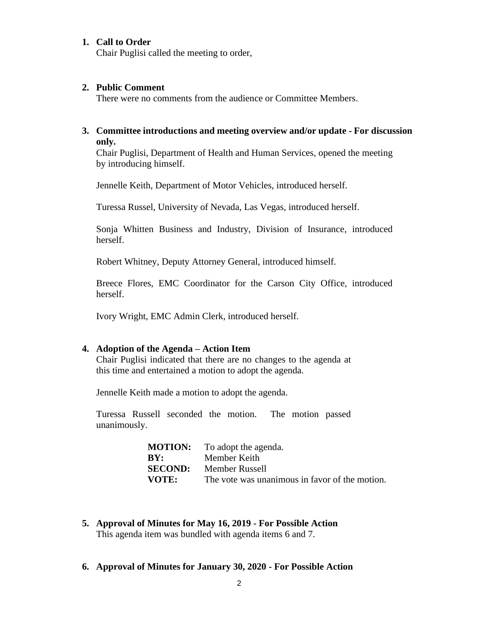### **1. Call to Order**

Chair Puglisi called the meeting to order,

#### **2. Public Comment**

There were no comments from the audience or Committee Members.

### **3. Committee introductions and meeting overview and/or update - For discussion only.**

Chair Puglisi, Department of Health and Human Services, opened the meeting by introducing himself.

Jennelle Keith, Department of Motor Vehicles, introduced herself.

Turessa Russel, University of Nevada, Las Vegas, introduced herself.

Sonja Whitten Business and Industry, Division of Insurance, introduced herself.

Robert Whitney, Deputy Attorney General, introduced himself.

Breece Flores, EMC Coordinator for the Carson City Office, introduced herself.

Ivory Wright, EMC Admin Clerk, introduced herself.

### **4. Adoption of the Agenda – Action Item**

Chair Puglisi indicated that there are no changes to the agenda at this time and entertained a motion to adopt the agenda.

Jennelle Keith made a motion to adopt the agenda.

Turessa Russell seconded the motion. The motion passed unanimously.

| <b>MOTION:</b> | To adopt the agenda.                           |
|----------------|------------------------------------------------|
| BY:            | Member Keith                                   |
| <b>SECOND:</b> | Member Russell                                 |
| <b>VOTE:</b>   | The vote was unanimous in favor of the motion. |
|                |                                                |

- **5. Approval of Minutes for May 16, 2019 - For Possible Action** This agenda item was bundled with agenda items 6 and 7.
- **6. Approval of Minutes for January 30, 2020 - For Possible Action**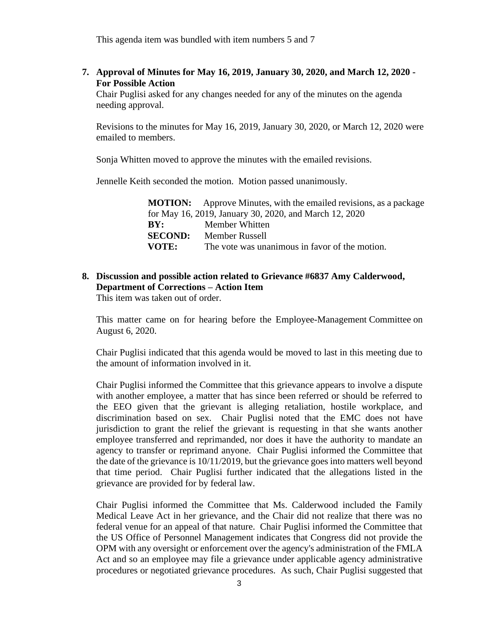This agenda item was bundled with item numbers 5 and 7

**7. Approval of Minutes for May 16, 2019, January 30, 2020, and March 12, 2020 - For Possible Action**

Chair Puglisi asked for any changes needed for any of the minutes on the agenda needing approval.

Revisions to the minutes for May 16, 2019, January 30, 2020, or March 12, 2020 were emailed to members.

Sonja Whitten moved to approve the minutes with the emailed revisions.

Jennelle Keith seconded the motion. Motion passed unanimously.

|                | <b>MOTION:</b> Approve Minutes, with the emailed revisions, as a package |
|----------------|--------------------------------------------------------------------------|
|                | for May 16, 2019, January 30, 2020, and March 12, 2020                   |
| BY:            | Member Whitten                                                           |
| <b>SECOND:</b> | Member Russell                                                           |
| VOTE:          | The vote was unanimous in favor of the motion.                           |

## **8. Discussion and possible action related to Grievance #6837 Amy Calderwood, Department of Corrections – Action Item**

This item was taken out of order.

This matter came on for hearing before the Employee-Management Committee on August 6, 2020.

Chair Puglisi indicated that this agenda would be moved to last in this meeting due to the amount of information involved in it.

Chair Puglisi informed the Committee that this grievance appears to involve a dispute with another employee, a matter that has since been referred or should be referred to the EEO given that the grievant is alleging retaliation, hostile workplace, and discrimination based on sex. Chair Puglisi noted that the EMC does not have jurisdiction to grant the relief the grievant is requesting in that she wants another employee transferred and reprimanded, nor does it have the authority to mandate an agency to transfer or reprimand anyone. Chair Puglisi informed the Committee that the date of the grievance is 10/11/2019, but the grievance goes into matters well beyond that time period. Chair Puglisi further indicated that the allegations listed in the grievance are provided for by federal law.

Chair Puglisi informed the Committee that Ms. Calderwood included the Family Medical Leave Act in her grievance, and the Chair did not realize that there was no federal venue for an appeal of that nature. Chair Puglisi informed the Committee that the US Office of Personnel Management indicates that Congress did not provide the OPM with any oversight or enforcement over the agency's administration of the FMLA Act and so an employee may file a grievance under applicable agency administrative procedures or negotiated grievance procedures. As such, Chair Puglisi suggested that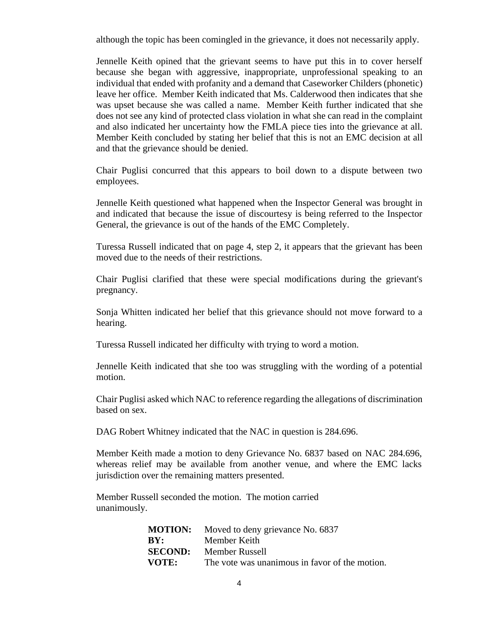although the topic has been comingled in the grievance, it does not necessarily apply.

Jennelle Keith opined that the grievant seems to have put this in to cover herself because she began with aggressive, inappropriate, unprofessional speaking to an individual that ended with profanity and a demand that Caseworker Childers (phonetic) leave her office. Member Keith indicated that Ms. Calderwood then indicates that she was upset because she was called a name. Member Keith further indicated that she does not see any kind of protected class violation in what she can read in the complaint and also indicated her uncertainty how the FMLA piece ties into the grievance at all. Member Keith concluded by stating her belief that this is not an EMC decision at all and that the grievance should be denied.

Chair Puglisi concurred that this appears to boil down to a dispute between two employees.

Jennelle Keith questioned what happened when the Inspector General was brought in and indicated that because the issue of discourtesy is being referred to the Inspector General, the grievance is out of the hands of the EMC Completely.

Turessa Russell indicated that on page 4, step 2, it appears that the grievant has been moved due to the needs of their restrictions.

Chair Puglisi clarified that these were special modifications during the grievant's pregnancy.

Sonja Whitten indicated her belief that this grievance should not move forward to a hearing.

Turessa Russell indicated her difficulty with trying to word a motion.

Jennelle Keith indicated that she too was struggling with the wording of a potential motion.

Chair Puglisi asked which NAC to reference regarding the allegations of discrimination based on sex.

DAG Robert Whitney indicated that the NAC in question is 284.696.

Member Keith made a motion to deny Grievance No. 6837 based on NAC 284.696, whereas relief may be available from another venue, and where the EMC lacks jurisdiction over the remaining matters presented.

Member Russell seconded the motion. The motion carried unanimously.

|       | <b>MOTION:</b> Moved to deny grievance No. 6837 |
|-------|-------------------------------------------------|
| BY:   | Member Keith                                    |
|       | <b>SECOND:</b> Member Russell                   |
| VOTE: | The vote was unanimous in favor of the motion.  |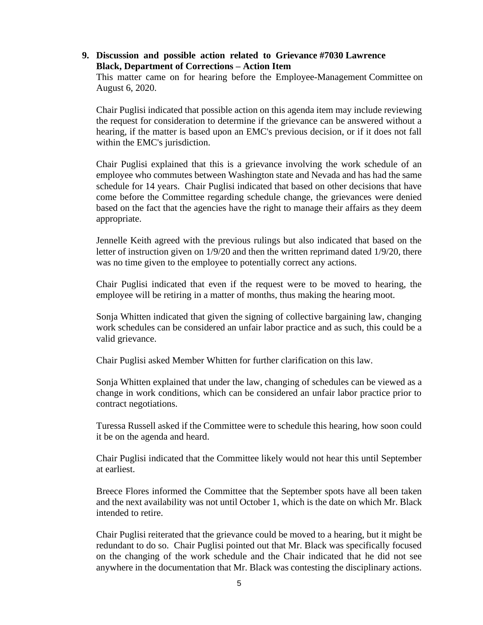### **9. Discussion and possible action related to Grievance #7030 Lawrence Black, Department of Corrections – Action Item**

This matter came on for hearing before the Employee-Management Committee on August 6, 2020.

Chair Puglisi indicated that possible action on this agenda item may include reviewing the request for consideration to determine if the grievance can be answered without a hearing, if the matter is based upon an EMC's previous decision, or if it does not fall within the EMC's jurisdiction.

Chair Puglisi explained that this is a grievance involving the work schedule of an employee who commutes between Washington state and Nevada and has had the same schedule for 14 years. Chair Puglisi indicated that based on other decisions that have come before the Committee regarding schedule change, the grievances were denied based on the fact that the agencies have the right to manage their affairs as they deem appropriate.

Jennelle Keith agreed with the previous rulings but also indicated that based on the letter of instruction given on 1/9/20 and then the written reprimand dated 1/9/20, there was no time given to the employee to potentially correct any actions.

Chair Puglisi indicated that even if the request were to be moved to hearing, the employee will be retiring in a matter of months, thus making the hearing moot.

Sonja Whitten indicated that given the signing of collective bargaining law, changing work schedules can be considered an unfair labor practice and as such, this could be a valid grievance.

Chair Puglisi asked Member Whitten for further clarification on this law.

Sonja Whitten explained that under the law, changing of schedules can be viewed as a change in work conditions, which can be considered an unfair labor practice prior to contract negotiations.

Turessa Russell asked if the Committee were to schedule this hearing, how soon could it be on the agenda and heard.

Chair Puglisi indicated that the Committee likely would not hear this until September at earliest.

Breece Flores informed the Committee that the September spots have all been taken and the next availability was not until October 1, which is the date on which Mr. Black intended to retire.

Chair Puglisi reiterated that the grievance could be moved to a hearing, but it might be redundant to do so. Chair Puglisi pointed out that Mr. Black was specifically focused on the changing of the work schedule and the Chair indicated that he did not see anywhere in the documentation that Mr. Black was contesting the disciplinary actions.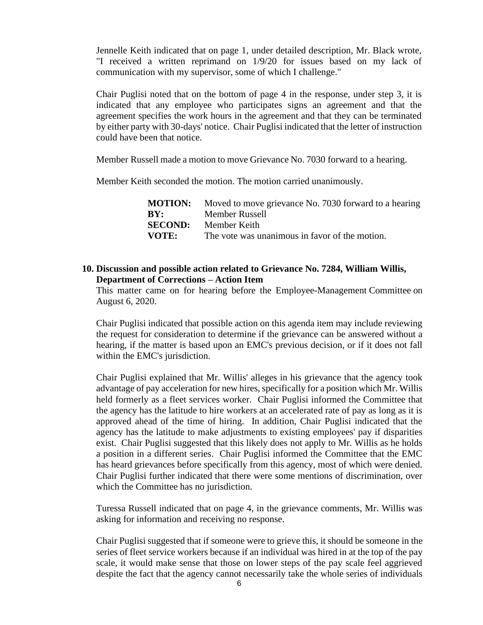Jennelle Keith indicated that on page 1, under detailed description, Mr. Black wrote, "I received a written reprimand on 1/9/20 for issues based on my lack of communication with my supervisor, some of which I challenge."

Chair Puglisi noted that on the bottom of page 4 in the response, under step 3, it is indicated that any employee who participates signs an agreement and that the agreement specifies the work hours in the agreement and that they can be terminated by either party with 30-days' notice. Chair Puglisi indicated that the letter of instruction could have been that notice.

Member Russell made a motion to move Grievance No. 7030 forward to a hearing.

Member Keith seconded the motion. The motion carried unanimously.

|       | <b>MOTION:</b> Moved to move grievance No. 7030 forward to a hearing |
|-------|----------------------------------------------------------------------|
| BY:   | Member Russell                                                       |
|       | <b>SECOND:</b> Member Keith                                          |
| VOTE: | The vote was unanimous in favor of the motion.                       |

### **10. Discussion and possible action related to Grievance No. 7284, William Willis, Department of Corrections – Action Item**

This matter came on for hearing before the Employee-Management Committee on August 6, 2020.

Chair Puglisi indicated that possible action on this agenda item may include reviewing the request for consideration to determine if the grievance can be answered without a hearing, if the matter is based upon an EMC's previous decision, or if it does not fall within the EMC's jurisdiction.

Chair Puglisi explained that Mr. Willis' alleges in his grievance that the agency took advantage of pay acceleration for new hires, specifically for a position which Mr. Willis held formerly as a fleet services worker. Chair Puglisi informed the Committee that the agency has the latitude to hire workers at an accelerated rate of pay as long as it is approved ahead of the time of hiring. In addition, Chair Puglisi indicated that the agency has the latitude to make adjustments to existing employees' pay if disparities exist. Chair Puglisi suggested that this likely does not apply to Mr. Willis as he holds a position in a different series. Chair Puglisi informed the Committee that the EMC has heard grievances before specifically from this agency, most of which were denied. Chair Puglisi further indicated that there were some mentions of discrimination, over which the Committee has no jurisdiction.

Turessa Russell indicated that on page 4, in the grievance comments, Mr. Willis was asking for information and receiving no response.

Chair Puglisi suggested that if someone were to grieve this, it should be someone in the series of fleet service workers because if an individual was hired in at the top of the pay scale, it would make sense that those on lower steps of the pay scale feel aggrieved despite the fact that the agency cannot necessarily take the whole series of individuals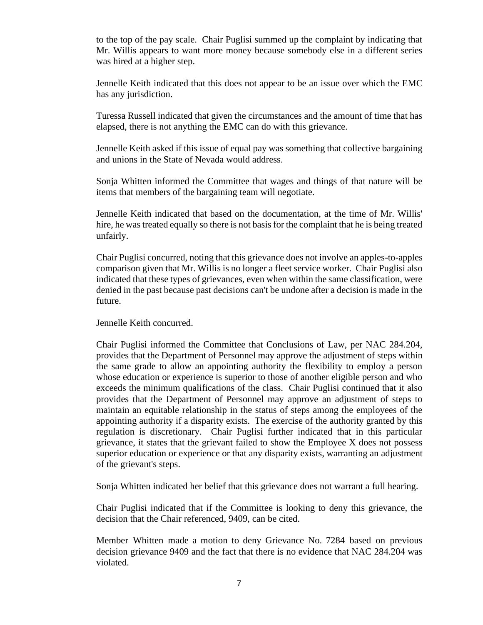to the top of the pay scale. Chair Puglisi summed up the complaint by indicating that Mr. Willis appears to want more money because somebody else in a different series was hired at a higher step.

Jennelle Keith indicated that this does not appear to be an issue over which the EMC has any jurisdiction.

Turessa Russell indicated that given the circumstances and the amount of time that has elapsed, there is not anything the EMC can do with this grievance.

Jennelle Keith asked if this issue of equal pay was something that collective bargaining and unions in the State of Nevada would address.

Sonja Whitten informed the Committee that wages and things of that nature will be items that members of the bargaining team will negotiate.

Jennelle Keith indicated that based on the documentation, at the time of Mr. Willis' hire, he was treated equally so there is not basis for the complaint that he is being treated unfairly.

Chair Puglisi concurred, noting that this grievance does not involve an apples-to-apples comparison given that Mr. Willis is no longer a fleet service worker. Chair Puglisi also indicated that these types of grievances, even when within the same classification, were denied in the past because past decisions can't be undone after a decision is made in the future.

Jennelle Keith concurred.

Chair Puglisi informed the Committee that Conclusions of Law, per NAC 284.204, provides that the Department of Personnel may approve the adjustment of steps within the same grade to allow an appointing authority the flexibility to employ a person whose education or experience is superior to those of another eligible person and who exceeds the minimum qualifications of the class. Chair Puglisi continued that it also provides that the Department of Personnel may approve an adjustment of steps to maintain an equitable relationship in the status of steps among the employees of the appointing authority if a disparity exists. The exercise of the authority granted by this regulation is discretionary. Chair Puglisi further indicated that in this particular grievance, it states that the grievant failed to show the Employee X does not possess superior education or experience or that any disparity exists, warranting an adjustment of the grievant's steps.

Sonja Whitten indicated her belief that this grievance does not warrant a full hearing.

Chair Puglisi indicated that if the Committee is looking to deny this grievance, the decision that the Chair referenced, 9409, can be cited.

Member Whitten made a motion to deny Grievance No. 7284 based on previous decision grievance 9409 and the fact that there is no evidence that NAC 284.204 was violated.